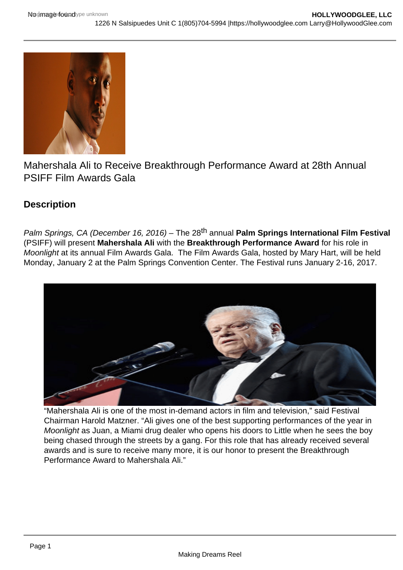

Mahershala Ali to Receive Breakthrough Performance Award at 28th Annual PSIFF Film Awards Gala

# **Description**

Palm Springs, CA (December 16, 2016) – The 28<sup>th</sup> annual **Palm Springs International Film Festival** (PSIFF) will present **Mahershala Ali** with the **Breakthrough Performance Award** for his role in Moonlight at its annual Film Awards Gala. The Film Awards Gala, hosted by Mary Hart, will be held Monday, January 2 at the Palm Springs Convention Center. The Festival runs January 2-16, 2017.



"Mahershala Ali is one of the most in-demand actors in film and television," said Festival Chairman Harold Matzner. "Ali gives one of the best supporting performances of the year in Moonlight as Juan, a Miami drug dealer who opens his doors to Little when he sees the boy being chased through the streets by a gang. For this role that has already received several awards and is sure to receive many more, it is our honor to present the Breakthrough Performance Award to Mahershala Ali."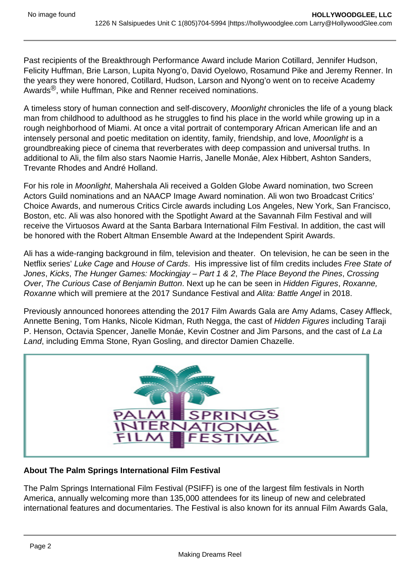Past recipients of the Breakthrough Performance Award include Marion Cotillard, Jennifer Hudson, Felicity Huffman, Brie Larson, Lupita Nyong'o, David Oyelowo, Rosamund Pike and Jeremy Renner. In the years they were honored, Cotillard, Hudson, Larson and Nyong'o went on to receive Academy Awards<sup>®</sup>, while Huffman, Pike and Renner received nominations.

A timeless story of human connection and self-discovery, Moonlight chronicles the life of a young black man from childhood to adulthood as he struggles to find his place in the world while growing up in a rough neighborhood of Miami. At once a vital portrait of contemporary African American life and an intensely personal and poetic meditation on identity, family, friendship, and love, Moonlight is a groundbreaking piece of cinema that reverberates with deep compassion and universal truths. In additional to Ali, the film also stars Naomie Harris, Janelle Monáe, Alex Hibbert, Ashton Sanders, Trevante Rhodes and André Holland.

For his role in Moonlight, Mahershala Ali received a Golden Globe Award nomination, two Screen Actors Guild nominations and an NAACP Image Award nomination. Ali won two Broadcast Critics' Choice Awards, and numerous Critics Circle awards including Los Angeles, New York, San Francisco, Boston, etc. Ali was also honored with the Spotlight Award at the Savannah Film Festival and will receive the Virtuosos Award at the Santa Barbara International Film Festival. In addition, the cast will be honored with the Robert Altman Ensemble Award at the Independent Spirit Awards.

Ali has a wide-ranging background in film, television and theater. On television, he can be seen in the Netflix series' Luke Cage and House of Cards. His impressive list of film credits includes Free State of Jones, Kicks, The Hunger Games: Mockingjay – Part 1 & 2, The Place Beyond the Pines, Crossing Over, The Curious Case of Benjamin Button. Next up he can be seen in Hidden Figures, Roxanne, Roxanne which will premiere at the 2017 Sundance Festival and Alita: Battle Angel in 2018.

Previously announced honorees attending the 2017 Film Awards Gala are Amy Adams, Casey Affleck, Annette Bening, Tom Hanks, Nicole Kidman, Ruth Negga, the cast of Hidden Figures including Taraji P. Henson, Octavia Spencer, Janelle Monáe, Kevin Costner and Jim Parsons, and the cast of La La Land, including Emma Stone, Ryan Gosling, and director Damien Chazelle.



### **About The Palm Springs International Film Festival**

The Palm Springs International Film Festival (PSIFF) is one of the largest film festivals in North America, annually welcoming more than 135,000 attendees for its lineup of new and celebrated international features and documentaries. The Festival is also known for its annual Film Awards Gala,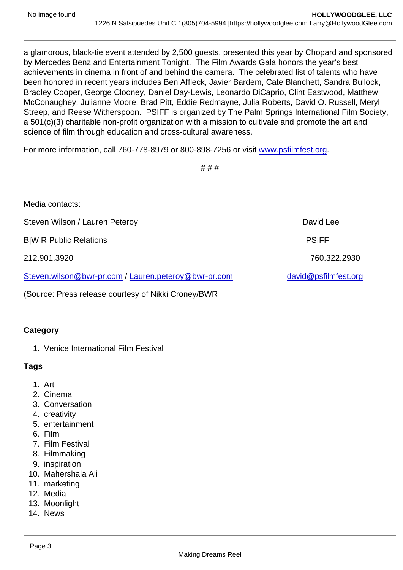a glamorous, black-tie event attended by 2,500 guests, presented this year by Chopard and sponsored by Mercedes Benz and Entertainment Tonight. The Film Awards Gala honors the year's best achievements in cinema in front of and behind the camera. The celebrated list of talents who have been honored in recent years includes Ben Affleck, Javier Bardem, Cate Blanchett, Sandra Bullock, Bradley Cooper, George Clooney, Daniel Day-Lewis, Leonardo DiCaprio, Clint Eastwood, Matthew McConaughey, Julianne Moore, Brad Pitt, Eddie Redmayne, Julia Roberts, David O. Russell, Meryl Streep, and Reese Witherspoon. PSIFF is organized by The Palm Springs International Film Society, a 501(c)(3) charitable non-profit organization with a mission to cultivate and promote the art and science of film through education and cross-cultural awareness.

For more information, call 760-778-8979 or 800-898-7256 or visit [www.psfilmfest.org](https://urldefense.proofpoint.com/v2/url?u=http-3A__www.psfilmfest.org_&d=DgMGaQ&c=qwStF0e4-YFyvjCeML3ehA&r=e-dbHXLuAc0XrQwqA21IIntVQEaGue__SkLZq-mK7WQ&m=rakauNvHO7AafVnvCZuT_vjhvbflRcHdTR5Tw2hZLnc&s=YGXjiTAEN3ozMR4Ar1vQVneVZ49vpfWBa3NdN9m_zkc&e=).

# # #

| Media contacts:                                      |                      |
|------------------------------------------------------|----------------------|
| Steven Wilson / Lauren Peteroy                       | David Lee            |
| <b>B</b>  W R Public Relations                       | <b>PSIFF</b>         |
| 212.901.3920                                         | 760.322.2930         |
| Steven.wilson@bwr-pr.com / Lauren.peteroy@bwr-pr.com | david@psfilmfest.org |

(Source: Press release courtesy of Nikki Croney/BWR

### **Category**

1. Venice International Film Festival

Tags

- 1. Art
- 2. Cinema
- 3. Conversation
- 4. creativity
- 5. entertainment
- 6. Film
- 7. Film Festival
- 8. Filmmaking
- 9. inspiration
- 10. Mahershala Ali
- 11. marketing
- 12. Media
- 13. Moonlight
- 14. News